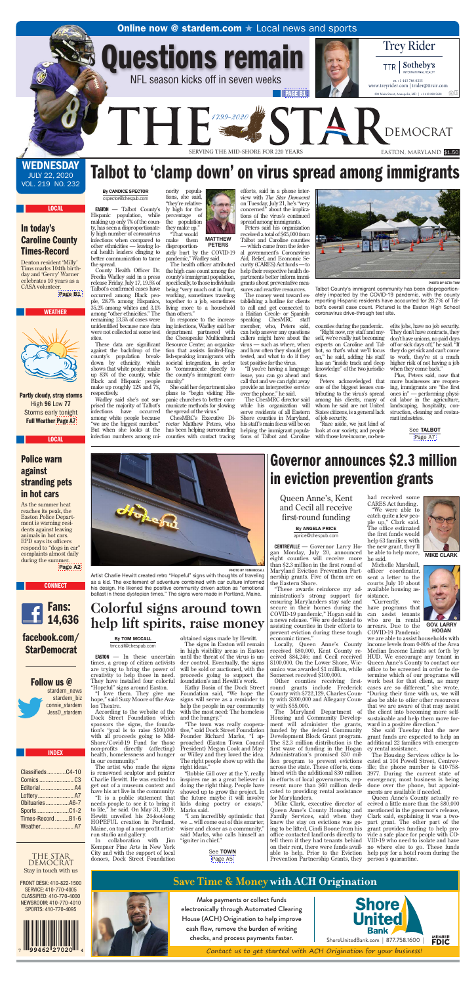### **Online now @ stardem.com**  $\star$  **Local news and sports**

1799-2020

Questions remain

NFL season kicks off in seven weeks



SERVING THE MID-SHORE FOR 220 YEARS EASTON, MARYLAND \$1.50

**STAR DEMOCRAT** 

m +1 443 786 0235 www.treyrider.com | trider@ttrsir.com 合田 209 Main Street, Annapolis, MD | +1 410 280 5600

**TTR** 

Trey Rider

Sotheby's

INTERNATIONAL REALTY

**WEDNESDAY** JULY 22, 2020 VOL. 219 NO. 232

LOCAL

## In today's Caroline County Times-Record

Denton resident 'Milly' Tims marks 104th birthday and 'Gerry' Warner celebrates 10 years as a CASA volunteer.

[Page B1](http://stardem.com/tncms/eeditionjump/?page=B1&uuid=a8099153-a663-55cb-a055-424532c1dc97)





Partly cloudy, stray storms High 96 Low 77 Storms early tonight Full Weather [Page A7](http://stardem.com/tncms/eeditionjump/?page=A7&uuid=a8099153-a663-55cb-a055-424532c1dc97)

# Talbot to 'clamp down' on virus spread among immigrants

[PAGE B1](http://stardem.com/tncms/eeditionjump/?page=B1&uuid=a8099153-a663-55cb-a055-424532c1dc97)

#### By CANDICE SPECTOR cspector@chespub.com

THI

EASTON — Talbot County's Hispanic population, while making up only 7% of the county, has seen a disproportionately high number of coronavirus infections when compared to other ethnicities — leaving local health leaders clinging to better communication to tame the spread.

County Health Officer Dr. Fredia Wadley said in a press release Friday, July 17, 19.5% of Talbot's confirmed cases have occurred among Black people, 28.7% among Hispanics, 35.2% among whites and 3.1% among "other ethnicities." The remaining 13.5% of cases were unidentified because race data were not collected at some test sites.

These data are significant against the backdrop of the county's population breakdown by ethnicity, which shows that white people make up 83% of the county, while Black and Hispanic people make up roughly 12% and 7%, respectively.

Wadley said she's not surprised the majority of Talbot's infections have occurred among white people because "we are the biggest number." But when she looks at the infection numbers among mi-

nority populations, she said, "they're relatively high for the percentage of the population they make up." "That would

make them disproportionately hurt by the COVID-19 pandemic," Wadley said. MATTHEW PETERS

The health officer attributed the high case count among the county's immigrant population, specifically, to those individuals being "very much out in front, working, sometimes traveling together to a job, sometimes living more to a household than others.'

In response to the increasing infections, Wadley said her department partnered with the Chesapeake Multicultural Resource Center, an organization that assists limited-English-speaking immigrants with societal integration, in order to "communicate directly to the county's immigrant community."

She said her department also plans to "begin visiting Hispanic churches to better communicate methods for slowing the spread of the virus."

ChesMRC's Executive Director Matthew Peters, who has been helping surrounding counties with contact tracing



view with *The Star Democrat* on Tuesday, July 21, he's "very concerned" about the implications of the virus's continued spread among immigrants.

received a total of \$65,000 from Talbot and Caroline counties — which came from the federal government's Coronavirus Aid, Relief, and Economic Security (CARES) Act funds — to help their respective health departments better inform immigrants about preventative measures and reactive resources.

The money went toward establishing a hotline for clients to call and get connected to a Haitian Creole- or Spanishspeaking ChesMRC staff member, who, Peters said, can help answer any questions callers might have about the virus — such as where, when and how often they should get tested, and what to do if they test positive for the virus.

"If you're having a language issue, you can go ahead and call that and we can right away provide an interpretive service over the phone," he said.

The ChesMRC director said while his organization will serve residents of all Eastern Shore counties in Maryland, his staff's main focus will be on helping the immigrant populations of Talbot and Caroline



**PHOTO BY SETH TOW** 

Talbot County's immigrant community has been disproportionately impacted by the COVID-19 pandemic, with the county reporting Hispanic residents have accounted for 28.7% of Talbot's overall case count. Pictured is the Easton High School coronavirus drive-through test site.

counties during the pandemic. "Right now, my staff and myself, we're really just becoming experts on Caroline and Talbot, so that's what we'll focus on," he said, adding his staff has an "inside track and deep knowledge" of the two jurisdictions.

Peters acknowledged that one of the biggest issues contributing to the virus's spread among his clients, many of whom he said are not United States citizens, is a general lack of job security.

"Race aside, we just kind of look at our society, and people with those low-income, no-benefits jobs, have no job security. They don't have contracts, they don't have unions, no paid days off or sick days off," he said. "If they do get sick and can't come to work, they're at a much higher risk of not having a job when they come back."

Plus, Peters said, now that more businesses are reopening, immigrants are "the first ones in" — performing physical labor in the agriculture, landscaping, hospitality, construction, cleaning and restaurant industries.

> See TALBOT [Page A7](http://stardem.com/tncms/eeditionjump/?page=A7&uuid=a8099153-a663-55cb-a055-424532c1dc97)